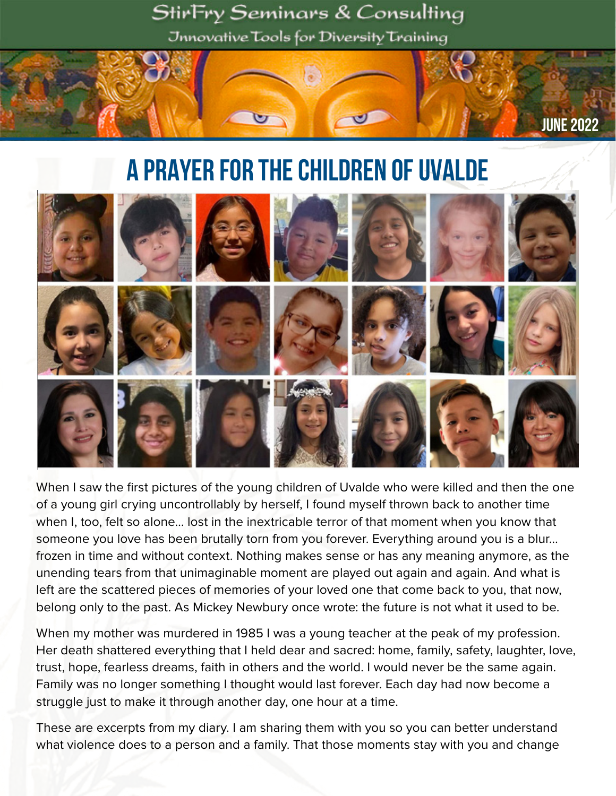

# A Prayer for the Children of Uvalde



When I saw the first pictures of the young children of Uvalde who were killed and then the one of a young girl crying uncontrollably by herself, I found myself thrown back to another time when I, too, felt so alone… lost in the inextricable terror of that moment when you know that someone you love has been brutally torn from you forever. Everything around you is a blur… frozen in time and without context. Nothing makes sense or has any meaning anymore, as the unending tears from that unimaginable moment are played out again and again. And what is left are the scattered pieces of memories of your loved one that come back to you, that now, belong only to the past. As Mickey Newbury once wrote: the future is not what it used to be.

When my mother was murdered in 1985 I was a young teacher at the peak of my profession. Her death shattered everything that I held dear and sacred: home, family, safety, laughter, love, trust, hope, fearless dreams, faith in others and the world. I would never be the same again. Family was no longer something I thought would last forever. Each day had now become a struggle just to make it through another day, one hour at a time.

These are excerpts from my diary. I am sharing them with you so you can better understand what violence does to a person and a family. That those moments stay with you and change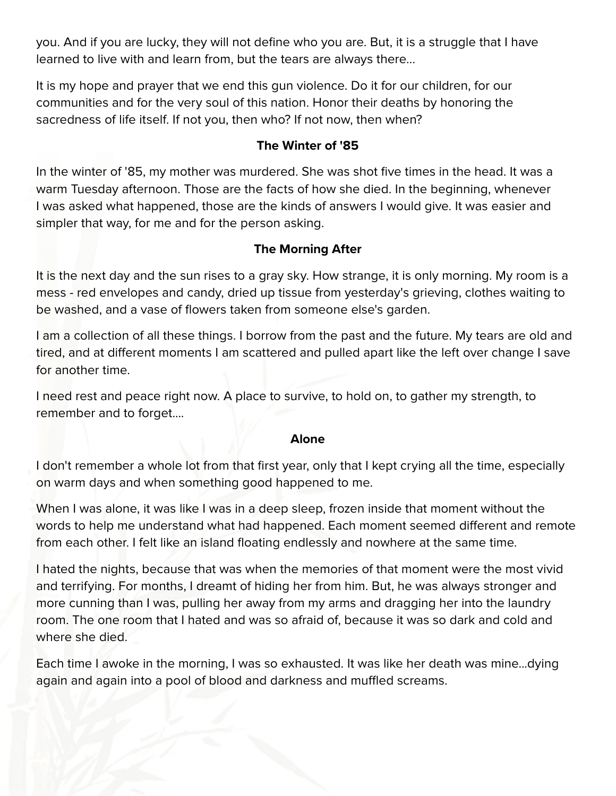you. And if you are lucky, they will not define who you are. But, it is a struggle that I have learned to live with and learn from, but the tears are always there…

It is my hope and prayer that we end this gun violence. Do it for our children, for our communities and for the very soul of this nation. Honor their deaths by honoring the sacredness of life itself. If not you, then who? If not now, then when?

## **The Winter of '85**

In the winter of '85, my mother was murdered. She was shot five times in the head. It was a warm Tuesday afternoon. Those are the facts of how she died. In the beginning, whenever I was asked what happened, those are the kinds of answers I would give. It was easier and simpler that way, for me and for the person asking.

## **The Morning After**

It is the next day and the sun rises to a gray sky. How strange, it is only morning. My room is a mess - red envelopes and candy, dried up tissue from yesterday's grieving, clothes waiting to be washed, and a vase of flowers taken from someone else's garden.

I am a collection of all these things. I borrow from the past and the future. My tears are old and tired, and at different moments I am scattered and pulled apart like the left over change I save for another time.

I need rest and peace right now. A place to survive, to hold on, to gather my strength, to remember and to forget....

### **Alone**

I don't remember a whole lot from that first year, only that I kept crying all the time, especially on warm days and when something good happened to me.

When I was alone, it was like I was in a deep sleep, frozen inside that moment without the words to help me understand what had happened. Each moment seemed different and remote from each other. I felt like an island floating endlessly and nowhere at the same time.

I hated the nights, because that was when the memories of that moment were the most vivid and terrifying. For months, I dreamt of hiding her from him. But, he was always stronger and more cunning than I was, pulling her away from my arms and dragging her into the laundry room. The one room that I hated and was so afraid of, because it was so dark and cold and where she died.

Each time I awoke in the morning, I was so exhausted. It was like her death was mine...dying again and again into a pool of blood and darkness and muffled screams.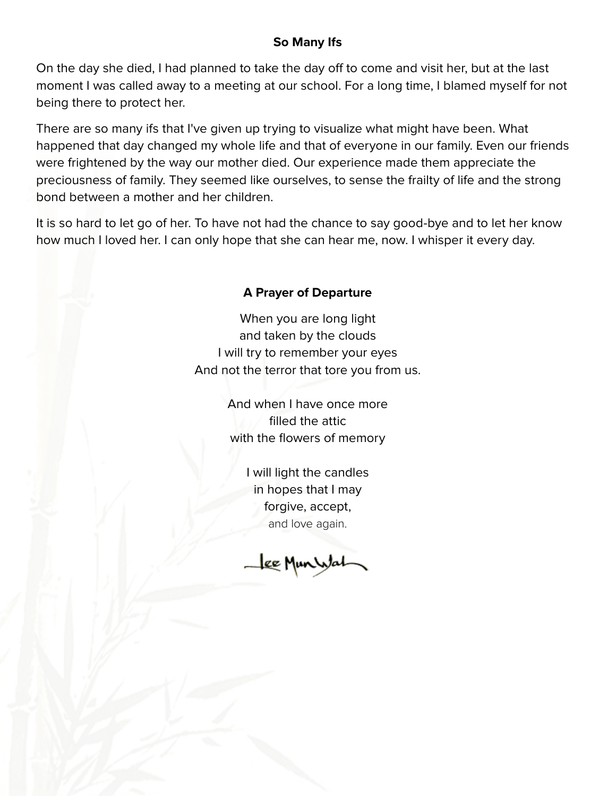## **So Many Ifs**

On the day she died, I had planned to take the day off to come and visit her, but at the last moment I was called away to a meeting at our school. For a long time, I blamed myself for not being there to protect her.

There are so many ifs that I've given up trying to visualize what might have been. What happened that day changed my whole life and that of everyone in our family. Even our friends were frightened by the way our mother died. Our experience made them appreciate the preciousness of family. They seemed like ourselves, to sense the frailty of life and the strong bond between a mother and her children.

It is so hard to let go of her. To have not had the chance to say good-bye and to let her know how much I loved her. I can only hope that she can hear me, now. I whisper it every day.

## **A Prayer of Departure**

When you are long light and taken by the clouds I will try to remember your eyes And not the terror that tore you from us.

> And when I have once more filled the attic with the flowers of memory

> > I will light the candles in hopes that I may forgive, accept, and love again.

Lee Munistal